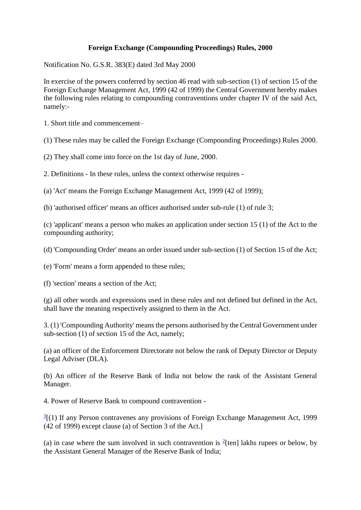## **Foreign Exchange (Compounding Proceedings) Rules, 2000**

Notification No. G.S.R. 383(E) dated 3rd May 2000

In exercise of the powers conferred by section 46 read with sub-section (1) of section 15 of the Foreign Exchange Management Act, 1999 (42 of 1999) the Central Government hereby makes the following rules relating to compounding contraventions under chapter IV of the said Act, namely:-

1. Short title and commencement–

(1) These rules may be called the Foreign Exchange (Compounding Proceedings) Rules 2000.

(2) They shall come into force on the 1st day of June, 2000.

2. Definitions - In these rules, unless the context otherwise requires -

(a) 'Act' means the Foreign Exchange Management Act, 1999 (42 of 1999);

(b) 'authorised officer' means an officer authorised under sub-rule (1) of rule 3;

(c) 'applicant' means a person who makes an application under section 15 (1) of the Act to the compounding authority;

(d) 'Compounding Order' means an order issued under sub-section (1) of Section 15 of the Act;

(e) 'Form' means a form appended to these rules;

(f) 'section' means a section of the Act;

(g) all other words and expressions used in these rules and not defined but defined in the Act, shall have the meaning respectively assigned to them in the Act.

3. (1) 'Compounding Authority' means the persons authorised by the Central Government under sub-section (1) of section 15 of the Act, namely;

(a) an officer of the Enforcement Directorate not below the rank of Deputy Director or Deputy Legal Adviser (DLA).

(b) An officer of the Reserve Bank of India not below the rank of the Assistant General Manager.

4. Power of Reserve Bank to compound contravention -

 $\frac{3}{2}$  $\frac{3}{2}$  $\frac{3}{2}$ [(1) If any Person contravenes any provisions of Foreign Exchange Management Act, 1999 (42 of 1999) except clause (a) of Section 3 of the Act.]

(a) in case where the sum involved in such contravention is  $^{2}$ [ten] lakhs rupees or below, by the Assistant General Manager of the Reserve Bank of India;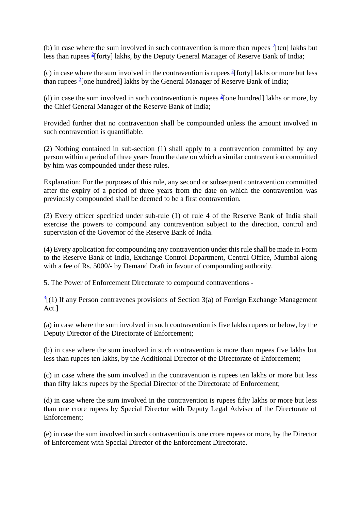(b) in case where the sum involved in such contravention is more than rupees  $2$ [ten] lakhs but less than rupees <sup>2</sup>[forty] lakhs, by the Deputy General Manager of Reserve Bank of India;

(c) in case where the sum involved in the contravention is rupees  $2$ [forty] lakhs or more but less than rupees <sup>2</sup> [one hundred] lakhs by the General Manager of Reserve Bank of India;

(d) in case the sum involved in such contravention is rupees  $\frac{2}{3}$  [one hundred] lakhs or more, by the Chief General Manager of the Reserve Bank of India;

Provided further that no contravention shall be compounded unless the amount involved in such contravention is quantifiable.

(2) Nothing contained in sub-section (1) shall apply to a contravention committed by any person within a period of three years from the date on which a similar contravention committed by him was compounded under these rules.

Explanation: For the purposes of this rule, any second or subsequent contravention committed after the expiry of a period of three years from the date on which the contravention was previously compounded shall be deemed to be a first contravention.

(3) Every officer specified under sub-rule (1) of rule 4 of the Reserve Bank of India shall exercise the powers to compound any contravention subject to the direction, control and supervision of the Governor of the Reserve Bank of India.

(4) Every application for compounding any contravention under this rule shall be made in Form to the Reserve Bank of India, Exchange Control Department, Central Office, Mumbai along with a fee of Rs. 5000/- by Demand Draft in favour of compounding authority.

5. The Power of Enforcement Directorate to compound contraventions -

 $\frac{3}{2}$ [(1) If any Person contravenes provisions of Section 3(a) of Foreign Exchange Management Act.]

(a) in case where the sum involved in such contravention is five lakhs rupees or below, by the Deputy Director of the Directorate of Enforcement;

(b) in case where the sum involved in such contravention is more than rupees five lakhs but less than rupees ten lakhs, by the Additional Director of the Directorate of Enforcement;

(c) in case where the sum involved in the contravention is rupees ten lakhs or more but less than fifty lakhs rupees by the Special Director of the Directorate of Enforcement;

(d) in case where the sum involved in the contravention is rupees fifty lakhs or more but less than one crore rupees by Special Director with Deputy Legal Adviser of the Directorate of Enforcement;

(e) in case the sum involved in such contravention is one crore rupees or more, by the Director of Enforcement with Special Director of the Enforcement Directorate.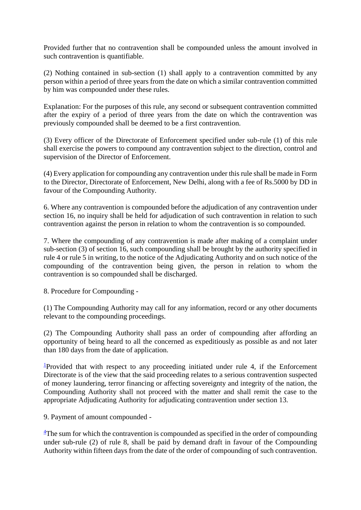Provided further that no contravention shall be compounded unless the amount involved in such contravention is quantifiable.

(2) Nothing contained in sub-section (1) shall apply to a contravention committed by any person within a period of three years from the date on which a similar contravention committed by him was compounded under these rules.

Explanation: For the purposes of this rule, any second or subsequent contravention committed after the expiry of a period of three years from the date on which the contravention was previously compounded shall be deemed to be a first contravention.

(3) Every officer of the Directorate of Enforcement specified under sub-rule (1) of this rule shall exercise the powers to compound any contravention subject to the direction, control and supervision of the Director of Enforcement.

(4) Every application for compounding any contravention under this rule shall be made in Form to the Director, Directorate of Enforcement, New Delhi, along with a fee of Rs.5000 by DD in favour of the Compounding Authority.

6. Where any contravention is compounded before the adjudication of any contravention under section 16, no inquiry shall be held for adjudication of such contravention in relation to such contravention against the person in relation to whom the contravention is so compounded.

7. Where the compounding of any contravention is made after making of a complaint under sub-section (3) of section 16, such compounding shall be brought by the authority specified in rule 4 or rule 5 in writing, to the notice of the Adjudicating Authority and on such notice of the compounding of the contravention being given, the person in relation to whom the contravention is so compounded shall be discharged.

8. Procedure for Compounding -

(1) The Compounding Authority may call for any information, record or any other documents relevant to the compounding proceedings.

(2) The Compounding Authority shall pass an order of compounding after affording an opportunity of being heard to all the concerned as expeditiously as possible as and not later than 180 days from the date of application.

<sup>1</sup>Provided that with respect to any proceeding initiated under rule 4, if the Enforcement Directorate is of the view that the said proceeding relates to a serious contravention suspected of money laundering, terror financing or affecting sovereignty and integrity of the nation, the Compounding Authority shall not proceed with the matter and shall remit the case to the appropriate Adjudicating Authority for adjudicating contravention under section 13.

9. Payment of amount compounded -

 $\frac{4}{3}$ The sum for which the contravention is compounded as specified in the order of compounding under sub-rule (2) of rule 8, shall be paid by demand draft in favour of the Compounding Authority within fifteen days from the date of the order of compounding of such contravention.